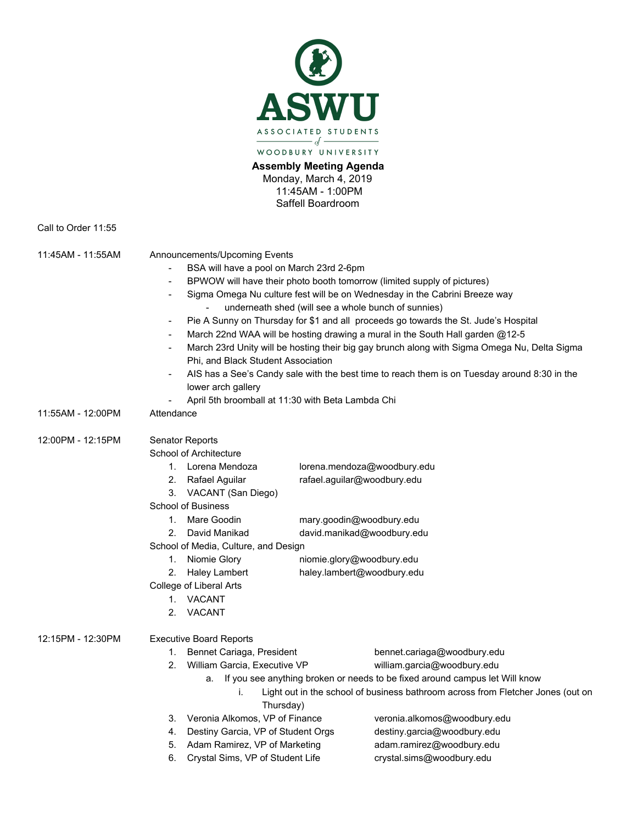

**Assembly Meeting Agenda** Monday, March 4, 2019 11:45AM - 1:00PM Saffell Boardroom

Call to Order 11:55

| 11:45AM - 11:55AM | Announcements/Upcoming Events                                                                                                                                           |                                                                      |                                                             |                                                                                |                             |                   |                                                                                                                                                                                                                                                                                                                                                                                                                                                                                                                                   |  |  |  |  |
|-------------------|-------------------------------------------------------------------------------------------------------------------------------------------------------------------------|----------------------------------------------------------------------|-------------------------------------------------------------|--------------------------------------------------------------------------------|-----------------------------|-------------------|-----------------------------------------------------------------------------------------------------------------------------------------------------------------------------------------------------------------------------------------------------------------------------------------------------------------------------------------------------------------------------------------------------------------------------------------------------------------------------------------------------------------------------------|--|--|--|--|
|                   | BSA will have a pool on March 23rd 2-6pm<br>BPWOW will have their photo booth tomorrow (limited supply of pictures)<br>$\overline{\phantom{a}}$                         |                                                                      |                                                             |                                                                                |                             |                   |                                                                                                                                                                                                                                                                                                                                                                                                                                                                                                                                   |  |  |  |  |
|                   |                                                                                                                                                                         |                                                                      |                                                             |                                                                                |                             |                   | Sigma Omega Nu culture fest will be on Wednesday in the Cabrini Breeze way<br>$\overline{a}$<br>underneath shed (will see a whole bunch of sunnies)<br>Pie A Sunny on Thursday for \$1 and all proceeds go towards the St. Jude's Hospital<br>$\overline{\phantom{a}}$<br>March 22nd WAA will be hosting drawing a mural in the South Hall garden @12-5<br>$\overline{a}$<br>March 23rd Unity will be hosting their big gay brunch along with Sigma Omega Nu, Delta Sigma<br>$\overline{a}$<br>Phi, and Black Student Association |  |  |  |  |
|                   |                                                                                                                                                                         |                                                                      |                                                             |                                                                                |                             |                   |                                                                                                                                                                                                                                                                                                                                                                                                                                                                                                                                   |  |  |  |  |
|                   |                                                                                                                                                                         |                                                                      |                                                             |                                                                                |                             |                   |                                                                                                                                                                                                                                                                                                                                                                                                                                                                                                                                   |  |  |  |  |
|                   |                                                                                                                                                                         |                                                                      |                                                             |                                                                                |                             |                   |                                                                                                                                                                                                                                                                                                                                                                                                                                                                                                                                   |  |  |  |  |
|                   | AIS has a See's Candy sale with the best time to reach them is on Tuesday around 8:30 in the<br>lower arch gallery<br>April 5th broomball at 11:30 with Beta Lambda Chi |                                                                      |                                                             |                                                                                |                             |                   |                                                                                                                                                                                                                                                                                                                                                                                                                                                                                                                                   |  |  |  |  |
|                   |                                                                                                                                                                         |                                                                      |                                                             |                                                                                |                             | 11:55AM - 12:00PM |                                                                                                                                                                                                                                                                                                                                                                                                                                                                                                                                   |  |  |  |  |
|                   |                                                                                                                                                                         |                                                                      |                                                             |                                                                                |                             | 12:00PM - 12:15PM | Senator Reports                                                                                                                                                                                                                                                                                                                                                                                                                                                                                                                   |  |  |  |  |
|                   |                                                                                                                                                                         | School of Architecture                                               |                                                             |                                                                                |                             |                   |                                                                                                                                                                                                                                                                                                                                                                                                                                                                                                                                   |  |  |  |  |
|                   |                                                                                                                                                                         |                                                                      | 1. Lorena Mendoza                                           |                                                                                | lorena.mendoza@woodbury.edu |                   |                                                                                                                                                                                                                                                                                                                                                                                                                                                                                                                                   |  |  |  |  |
|                   |                                                                                                                                                                         | 2. Rafael Aguilar                                                    | rafael.aguilar@woodbury.edu                                 |                                                                                |                             |                   |                                                                                                                                                                                                                                                                                                                                                                                                                                                                                                                                   |  |  |  |  |
|                   | 3. VACANT (San Diego)                                                                                                                                                   |                                                                      |                                                             |                                                                                |                             |                   |                                                                                                                                                                                                                                                                                                                                                                                                                                                                                                                                   |  |  |  |  |
|                   | <b>School of Business</b>                                                                                                                                               |                                                                      |                                                             |                                                                                |                             |                   |                                                                                                                                                                                                                                                                                                                                                                                                                                                                                                                                   |  |  |  |  |
|                   | $1_{\cdot}$                                                                                                                                                             | Mare Goodin                                                          | mary.goodin@woodbury.edu                                    |                                                                                |                             |                   |                                                                                                                                                                                                                                                                                                                                                                                                                                                                                                                                   |  |  |  |  |
|                   | 2.                                                                                                                                                                      | David Manikad                                                        | david.manikad@woodbury.edu                                  |                                                                                |                             |                   |                                                                                                                                                                                                                                                                                                                                                                                                                                                                                                                                   |  |  |  |  |
|                   | School of Media, Culture, and Design                                                                                                                                    |                                                                      |                                                             |                                                                                |                             |                   |                                                                                                                                                                                                                                                                                                                                                                                                                                                                                                                                   |  |  |  |  |
|                   |                                                                                                                                                                         | 1. Niomie Glory                                                      | niomie.glory@woodbury.edu                                   |                                                                                |                             |                   |                                                                                                                                                                                                                                                                                                                                                                                                                                                                                                                                   |  |  |  |  |
|                   | 2.                                                                                                                                                                      | <b>Haley Lambert</b>                                                 | haley.lambert@woodbury.edu                                  |                                                                                |                             |                   |                                                                                                                                                                                                                                                                                                                                                                                                                                                                                                                                   |  |  |  |  |
|                   | College of Liberal Arts                                                                                                                                                 |                                                                      |                                                             |                                                                                |                             |                   |                                                                                                                                                                                                                                                                                                                                                                                                                                                                                                                                   |  |  |  |  |
|                   | 1. VACANT                                                                                                                                                               |                                                                      |                                                             |                                                                                |                             |                   |                                                                                                                                                                                                                                                                                                                                                                                                                                                                                                                                   |  |  |  |  |
|                   | 2.                                                                                                                                                                      | VACANT                                                               |                                                             |                                                                                |                             |                   |                                                                                                                                                                                                                                                                                                                                                                                                                                                                                                                                   |  |  |  |  |
| 12:15PM - 12:30PM | <b>Executive Board Reports</b>                                                                                                                                          |                                                                      |                                                             |                                                                                |                             |                   |                                                                                                                                                                                                                                                                                                                                                                                                                                                                                                                                   |  |  |  |  |
|                   | 1.                                                                                                                                                                      | Bennet Cariaga, President                                            |                                                             | bennet.cariaga@woodbury.edu                                                    |                             |                   |                                                                                                                                                                                                                                                                                                                                                                                                                                                                                                                                   |  |  |  |  |
|                   | 2.                                                                                                                                                                      | William Garcia, Executive VP                                         |                                                             | william.garcia@woodbury.edu                                                    |                             |                   |                                                                                                                                                                                                                                                                                                                                                                                                                                                                                                                                   |  |  |  |  |
|                   |                                                                                                                                                                         |                                                                      |                                                             | a. If you see anything broken or needs to be fixed around campus let Will know |                             |                   |                                                                                                                                                                                                                                                                                                                                                                                                                                                                                                                                   |  |  |  |  |
|                   | Light out in the school of business bathroom across from Fletcher Jones (out on<br>i.<br>Thursday)                                                                      |                                                                      |                                                             |                                                                                |                             |                   |                                                                                                                                                                                                                                                                                                                                                                                                                                                                                                                                   |  |  |  |  |
|                   | 3.                                                                                                                                                                      |                                                                      |                                                             |                                                                                |                             |                   |                                                                                                                                                                                                                                                                                                                                                                                                                                                                                                                                   |  |  |  |  |
|                   | 4.                                                                                                                                                                      | Veronia Alkomos, VP of Finance<br>Destiny Garcia, VP of Student Orgs | veronia.alkomos@woodbury.edu<br>destiny.garcia@woodbury.edu |                                                                                |                             |                   |                                                                                                                                                                                                                                                                                                                                                                                                                                                                                                                                   |  |  |  |  |
|                   | 5.                                                                                                                                                                      |                                                                      | adam.ramirez@woodbury.edu                                   |                                                                                |                             |                   |                                                                                                                                                                                                                                                                                                                                                                                                                                                                                                                                   |  |  |  |  |
|                   | 6.                                                                                                                                                                      | Adam Ramirez, VP of Marketing<br>Crystal Sims, VP of Student Life    |                                                             | crystal.sims@woodbury.edu                                                      |                             |                   |                                                                                                                                                                                                                                                                                                                                                                                                                                                                                                                                   |  |  |  |  |
|                   |                                                                                                                                                                         |                                                                      |                                                             |                                                                                |                             |                   |                                                                                                                                                                                                                                                                                                                                                                                                                                                                                                                                   |  |  |  |  |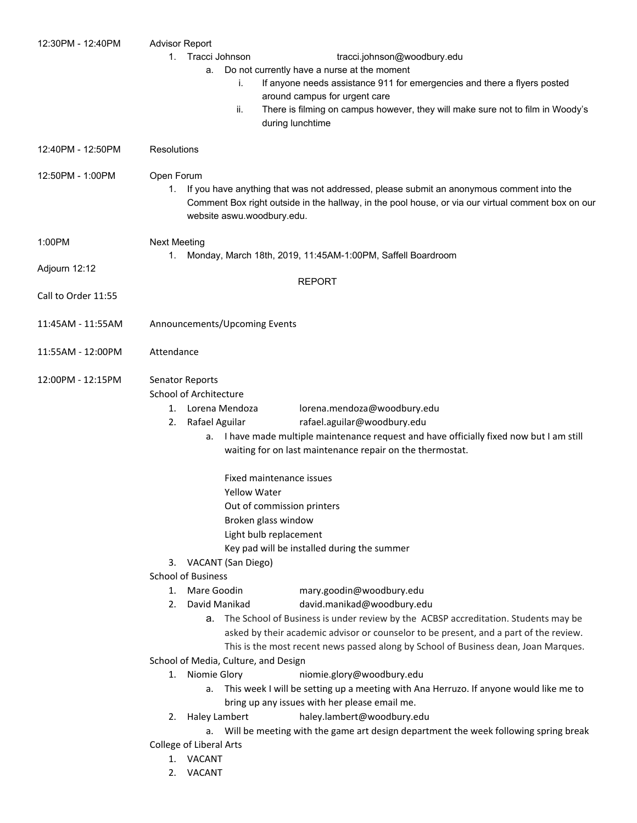| 12:30PM - 12:40PM   | <b>Advisor Report</b>                                                                              |  |  |  |  |
|---------------------|----------------------------------------------------------------------------------------------------|--|--|--|--|
|                     | Tracci Johnson<br>tracci.johnson@woodbury.edu<br>1.                                                |  |  |  |  |
|                     | Do not currently have a nurse at the moment<br>a.                                                  |  |  |  |  |
|                     | If anyone needs assistance 911 for emergencies and there a flyers posted<br>İ.                     |  |  |  |  |
|                     | around campus for urgent care                                                                      |  |  |  |  |
|                     | There is filming on campus however, they will make sure not to film in Woody's<br>ii.              |  |  |  |  |
|                     | during lunchtime                                                                                   |  |  |  |  |
| 12:40PM - 12:50PM   | <b>Resolutions</b>                                                                                 |  |  |  |  |
| 12:50PM - 1:00PM    | Open Forum                                                                                         |  |  |  |  |
|                     | If you have anything that was not addressed, please submit an anonymous comment into the<br>1.     |  |  |  |  |
|                     | Comment Box right outside in the hallway, in the pool house, or via our virtual comment box on our |  |  |  |  |
|                     | website aswu.woodbury.edu.                                                                         |  |  |  |  |
|                     |                                                                                                    |  |  |  |  |
| 1:00PM              | <b>Next Meeting</b>                                                                                |  |  |  |  |
|                     | Monday, March 18th, 2019, 11:45AM-1:00PM, Saffell Boardroom<br>1.                                  |  |  |  |  |
| Adjourn 12:12       |                                                                                                    |  |  |  |  |
|                     | <b>REPORT</b>                                                                                      |  |  |  |  |
| Call to Order 11:55 |                                                                                                    |  |  |  |  |
| 11:45AM - 11:55AM   | Announcements/Upcoming Events                                                                      |  |  |  |  |
|                     |                                                                                                    |  |  |  |  |
| 11:55AM - 12:00PM   | Attendance                                                                                         |  |  |  |  |
|                     |                                                                                                    |  |  |  |  |
| 12:00PM - 12:15PM   | Senator Reports                                                                                    |  |  |  |  |
|                     | School of Architecture                                                                             |  |  |  |  |
|                     | Lorena Mendoza<br>lorena.mendoza@woodbury.edu<br>1.                                                |  |  |  |  |
|                     | Rafael Aguilar<br>rafael.aguilar@woodbury.edu<br>2.                                                |  |  |  |  |
|                     | I have made multiple maintenance request and have officially fixed now but I am still<br>а.        |  |  |  |  |
|                     | waiting for on last maintenance repair on the thermostat.                                          |  |  |  |  |
|                     | Fixed maintenance issues                                                                           |  |  |  |  |
|                     | <b>Yellow Water</b><br>Out of commission printers<br>Broken glass window                           |  |  |  |  |
|                     |                                                                                                    |  |  |  |  |
|                     |                                                                                                    |  |  |  |  |
|                     | Light bulb replacement                                                                             |  |  |  |  |
|                     | Key pad will be installed during the summer                                                        |  |  |  |  |
|                     | 3. VACANT (San Diego)                                                                              |  |  |  |  |
|                     | <b>School of Business</b>                                                                          |  |  |  |  |
|                     | Mare Goodin<br>mary.goodin@woodbury.edu<br>1.                                                      |  |  |  |  |
|                     | David Manikad<br>david.manikad@woodbury.edu<br>2.                                                  |  |  |  |  |
|                     | a. The School of Business is under review by the ACBSP accreditation. Students may be              |  |  |  |  |
|                     | asked by their academic advisor or counselor to be present, and a part of the review.              |  |  |  |  |
|                     | This is the most recent news passed along by School of Business dean, Joan Marques.                |  |  |  |  |
|                     | School of Media, Culture, and Design                                                               |  |  |  |  |
|                     | 1. Niomie Glory<br>niomie.glory@woodbury.edu                                                       |  |  |  |  |
|                     | This week I will be setting up a meeting with Ana Herruzo. If anyone would like me to<br>а.        |  |  |  |  |
|                     | bring up any issues with her please email me.                                                      |  |  |  |  |
|                     | haley.lambert@woodbury.edu<br>Haley Lambert<br>2.                                                  |  |  |  |  |
|                     | Will be meeting with the game art design department the week following spring break<br>a.          |  |  |  |  |
|                     | College of Liberal Arts                                                                            |  |  |  |  |
|                     | 1. VACANT                                                                                          |  |  |  |  |
|                     | 2. VACANT                                                                                          |  |  |  |  |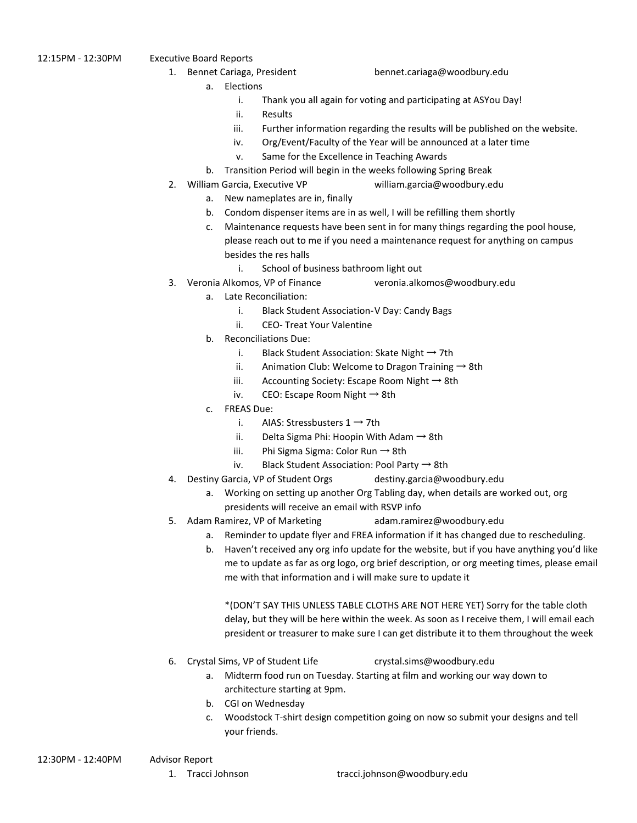12:15PM - 12:30PM Executive Board Reports

1. Bennet Cariaga, President bennet.cariaga@woodbury.edu

- a. Elections
	- i. Thank you all again for voting and participating at ASYou Day!
	- ii. Results
	- iii. Further information regarding the results will be published on the website.
	- iv. Org/Event/Faculty of the Year will be announced at a later time
	- v. Same for the Excellence in Teaching Awards
- b. Transition Period will begin in the weeks following Spring Break
- 2. William Garcia, Executive VP william.garcia@woodbury.edu
	- a. New nameplates are in, finally
		- b. Condom dispenser items are in as well, I will be refilling them shortly
	- c. Maintenance requests have been sent in for many things regarding the pool house, please reach out to me if you need a maintenance request for anything on campus besides the res halls
		- i. School of business bathroom light out
- 3. Veronia Alkomos, VP of Finance veronia.alkomos@woodbury.edu
	- a. Late Reconciliation:
		- i. Black Student Association-V Day: Candy Bags
		- ii. CEO- Treat Your Valentine
	- b. Reconciliations Due:
		- i. Black Student Association: Skate Night  $\rightarrow$  7th
		- ii. Animation Club: Welcome to Dragon Training  $\rightarrow$  8th
		- iii. Accounting Society: Escape Room Night  $\rightarrow$  8th
		- iv. CEO: Escape Room Night  $\rightarrow$  8th
	- c. FREAS Due:
		- i. AIAS: Stressbusters  $1 \rightarrow 7$ th
		- ii. Delta Sigma Phi: Hoopin With Adam  $\rightarrow$  8th
		- iii. Phi Sigma Sigma: Color Run → 8th
		- iv. Black Student Association: Pool Party  $\rightarrow$  8th
- 4. Destiny Garcia, VP of Student Orgs destiny.garcia@woodbury.edu
	- a. Working on setting up another Org Tabling day, when details are worked out, org presidents will receive an email with RSVP info
- 5. Adam Ramirez, VP of Marketing adam.ramirez@woodbury.edu
	- a. Reminder to update flyer and FREA information if it has changed due to rescheduling.
	- b. Haven't received any org info update for the website, but if you have anything you'd like me to update as far as org logo, org brief description, or org meeting times, please email me with that information and i will make sure to update it

\*(DON'T SAY THIS UNLESS TABLE CLOTHS ARE NOT HERE YET) Sorry for the table cloth delay, but they will be here within the week. As soon as I receive them, I will email each president or treasurer to make sure I can get distribute it to them throughout the week

- 6. Crystal Sims, VP of Student Life crystal.sims@woodbury.edu
	- a. Midterm food run on Tuesday. Starting at film and working our way down to architecture starting at 9pm.
	- b. CGI on Wednesday
	- c. Woodstock T-shirt design competition going on now so submit your designs and tell your friends.

- -